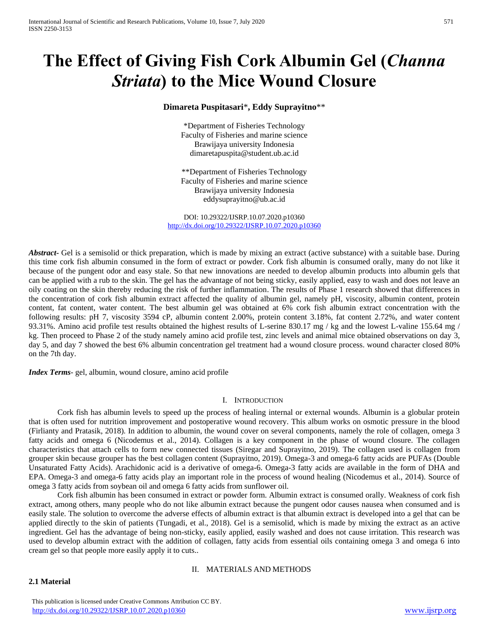# **The Effect of Giving Fish Cork Albumin Gel (***Channa Striata***) to the Mice Wound Closure**

# **Dimareta Puspitasari**\***, Eddy Suprayitno**\*\*

\*Department of Fisheries Technology Faculty of Fisheries and marine science Brawijaya university Indonesia dimaretapuspita@student.ub.ac.id

\*\*Department of Fisheries Technology Faculty of Fisheries and marine science Brawijaya university Indonesia eddysuprayitno@ub.ac.id

DOI: 10.29322/IJSRP.10.07.2020.p10360 <http://dx.doi.org/10.29322/IJSRP.10.07.2020.p10360>

*Abstract* Gel is a semisolid or thick preparation, which is made by mixing an extract (active substance) with a suitable base. During this time cork fish albumin consumed in the form of extract or powder. Cork fish albumin is consumed orally, many do not like it because of the pungent odor and easy stale. So that new innovations are needed to develop albumin products into albumin gels that can be applied with a rub to the skin. The gel has the advantage of not being sticky, easily applied, easy to wash and does not leave an oily coating on the skin thereby reducing the risk of further inflammation. The results of Phase 1 research showed that differences in the concentration of cork fish albumin extract affected the quality of albumin gel, namely pH, viscosity, albumin content, protein content, fat content, water content. The best albumin gel was obtained at 6% cork fish albumin extract concentration with the following results: pH 7, viscosity 3594 cP, albumin content 2.00%, protein content 3.18%, fat content 2.72%, and water content 93.31%. Amino acid profile test results obtained the highest results of L-serine 830.17 mg / kg and the lowest L-valine 155.64 mg / kg. Then proceed to Phase 2 of the study namely amino acid profile test, zinc levels and animal mice obtained observations on day 3, day 5, and day 7 showed the best 6% albumin concentration gel treatment had a wound closure process. wound character closed 80% on the 7th day.

*Index Terms*- gel, albumin, wound closure, amino acid profile

# I. INTRODUCTION

Cork fish has albumin levels to speed up the process of healing internal or external wounds. Albumin is a globular protein that is often used for nutrition improvement and postoperative wound recovery. This album works on osmotic pressure in the blood (Firlianty and Pratasik, 2018). In addition to albumin, the wound cover on several components, namely the role of collagen, omega 3 fatty acids and omega 6 (Nicodemus et al., 2014). Collagen is a key component in the phase of wound closure. The collagen characteristics that attach cells to form new connected tissues (Siregar and Suprayitno, 2019). The collagen used is collagen from grouper skin because grouper has the best collagen content (Suprayitno, 2019). Omega-3 and omega-6 fatty acids are PUFAs (Double Unsaturated Fatty Acids). Arachidonic acid is a derivative of omega-6. Omega-3 fatty acids are available in the form of DHA and EPA. Omega-3 and omega-6 fatty acids play an important role in the process of wound healing (Nicodemus et al., 2014). Source of omega 3 fatty acids from soybean oil and omega 6 fatty acids from sunflower oil.

Cork fish albumin has been consumed in extract or powder form. Albumin extract is consumed orally. Weakness of cork fish extract, among others, many people who do not like albumin extract because the pungent odor causes nausea when consumed and is easily stale. The solution to overcome the adverse effects of albumin extract is that albumin extract is developed into a gel that can be applied directly to the skin of patients (Tungadi, et al., 2018). Gel is a semisolid, which is made by mixing the extract as an active ingredient. Gel has the advantage of being non-sticky, easily applied, easily washed and does not cause irritation. This research was used to develop albumin extract with the addition of collagen, fatty acids from essential oils containing omega 3 and omega 6 into cream gel so that people more easily apply it to cuts..

# II. MATERIALS AND METHODS

**2.1 Material**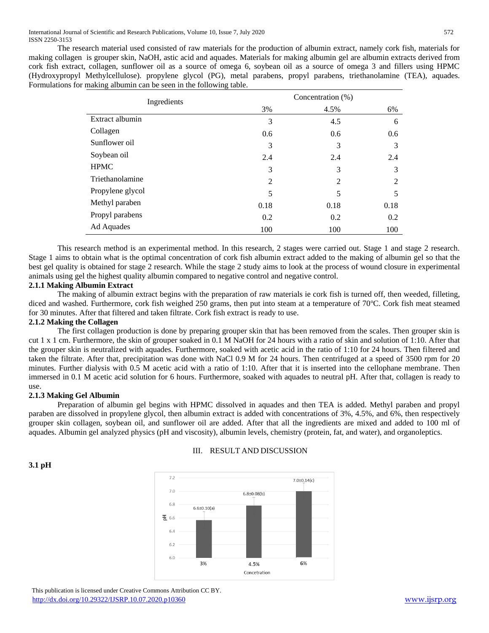The research material used consisted of raw materials for the production of albumin extract, namely cork fish, materials for making collagen is grouper skin, NaOH, astic acid and aquades. Materials for making albumin gel are albumin extracts derived from cork fish extract, collagen, sunflower oil as a source of omega 6, soybean oil as a source of omega 3 and fillers using HPMC (Hydroxypropyl Methylcellulose). propylene glycol (PG), metal parabens, propyl parabens, triethanolamine (TEA), aquades. Formulations for making albumin can be seen in the following table.

| Ingredients      | Concentration (%) |                |                |
|------------------|-------------------|----------------|----------------|
|                  | 3%                | 4.5%           | 6%             |
| Extract albumin  | 3                 | 4.5            | 6              |
| Collagen         | 0.6               | 0.6            | 0.6            |
| Sunflower oil    | 3                 | 3              | 3              |
| Soybean oil      | 2.4               | 2.4            | 2.4            |
| <b>HPMC</b>      | 3                 | 3              | 3              |
| Triethanolamine  | 2                 | $\overline{2}$ | $\overline{2}$ |
| Propylene glycol | 5                 | 5              | 5              |
| Methyl paraben   | 0.18              | 0.18           | 0.18           |
| Propyl parabens  | 0.2               | 0.2            | 0.2            |
| Ad Aquades       | 100               | 100            | 100            |

This research method is an experimental method. In this research, 2 stages were carried out. Stage 1 and stage 2 research. Stage 1 aims to obtain what is the optimal concentration of cork fish albumin extract added to the making of albumin gel so that the best gel quality is obtained for stage 2 research. While the stage 2 study aims to look at the process of wound closure in experimental animals using gel the highest quality albumin compared to negative control and negative control.

# **2.1.1 Making Albumin Extract**

The making of albumin extract begins with the preparation of raw materials ie cork fish is turned off, then weeded, filleting, diced and washed. Furthermore, cork fish weighed 250 grams, then put into steam at a temperature of 70°C. Cork fish meat steamed for 30 minutes. After that filtered and taken filtrate. Cork fish extract is ready to use.

# **2.1.2 Making the Collagen**

The first collagen production is done by preparing grouper skin that has been removed from the scales. Then grouper skin is cut 1 x 1 cm. Furthermore, the skin of grouper soaked in 0.1 M NaOH for 24 hours with a ratio of skin and solution of 1:10. After that the grouper skin is neutralized with aquades. Furthermore, soaked with acetic acid in the ratio of 1:10 for 24 hours. Then filtered and taken the filtrate. After that, precipitation was done with NaCl 0.9 M for 24 hours. Then centrifuged at a speed of 3500 rpm for 20 minutes. Further dialysis with 0.5 M acetic acid with a ratio of 1:10. After that it is inserted into the cellophane membrane. Then immersed in 0.1 M acetic acid solution for 6 hours. Furthermore, soaked with aquades to neutral pH. After that, collagen is ready to use.

# **2.1.3 Making Gel Albumin**

**3.1 pH**

Preparation of albumin gel begins with HPMC dissolved in aquades and then TEA is added. Methyl paraben and propyl paraben are dissolved in propylene glycol, then albumin extract is added with concentrations of 3%, 4.5%, and 6%, then respectively grouper skin collagen, soybean oil, and sunflower oil are added. After that all the ingredients are mixed and added to 100 ml of aquades. Albumin gel analyzed physics (pH and viscosity), albumin levels, chemistry (protein, fat, and water), and organoleptics.



# III. RESULT AND DISCUSSION

 This publication is licensed under Creative Commons Attribution CC BY. <http://dx.doi.org/10.29322/IJSRP.10.07.2020.p10360> [www.ijsrp.org](http://ijsrp.org/)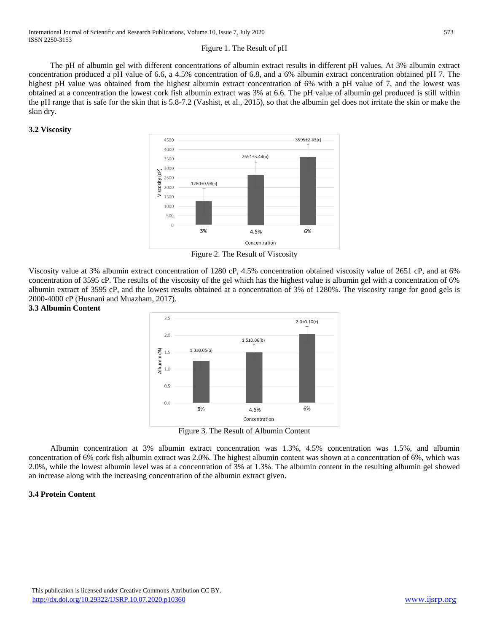# Figure 1. The Result of pH

The pH of albumin gel with different concentrations of albumin extract results in different pH values. At 3% albumin extract concentration produced a pH value of 6.6, a 4.5% concentration of 6.8, and a 6% albumin extract concentration obtained pH 7. The highest pH value was obtained from the highest albumin extract concentration of 6% with a pH value of 7, and the lowest was obtained at a concentration the lowest cork fish albumin extract was 3% at 6.6. The pH value of albumin gel produced is still within the pH range that is safe for the skin that is 5.8-7.2 (Vashist, et al., 2015), so that the albumin gel does not irritate the skin or make the skin dry.

# **3.2 Viscosity**



Figure 2. The Result of Viscosity

Viscosity value at 3% albumin extract concentration of 1280 cP, 4.5% concentration obtained viscosity value of 2651 cP, and at 6% concentration of 3595 cP. The results of the viscosity of the gel which has the highest value is albumin gel with a concentration of 6% albumin extract of 3595 cP, and the lowest results obtained at a concentration of 3% of 1280%. The viscosity range for good gels is 2000-4000 cP (Husnani and Muazham, 2017).

#### **3.3 Albumin Content**



Figure 3. The Result of Albumin Content

Albumin concentration at 3% albumin extract concentration was 1.3%, 4.5% concentration was 1.5%, and albumin concentration of 6% cork fish albumin extract was 2.0%. The highest albumin content was shown at a concentration of 6%, which was 2.0%, while the lowest albumin level was at a concentration of 3% at 1.3%. The albumin content in the resulting albumin gel showed an increase along with the increasing concentration of the albumin extract given.

# **3.4 Protein Content**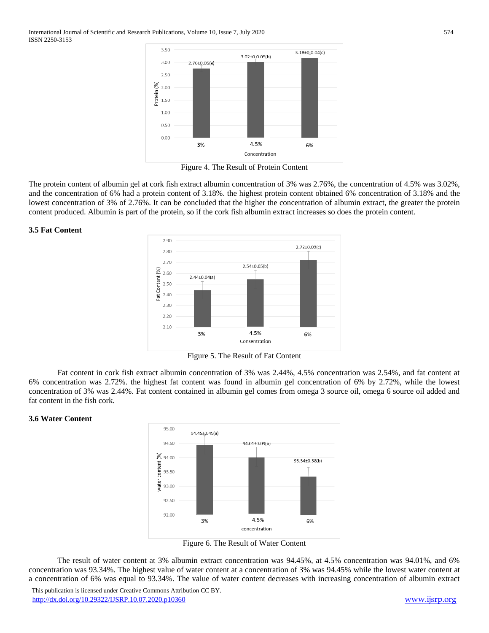

Figure 4. The Result of Protein Content

The protein content of albumin gel at cork fish extract albumin concentration of 3% was 2.76%, the concentration of 4.5% was 3.02%, and the concentration of 6% had a protein content of 3.18%. the highest protein content obtained 6% concentration of 3.18% and the lowest concentration of 3% of 2.76%. It can be concluded that the higher the concentration of albumin extract, the greater the protein content produced. Albumin is part of the protein, so if the cork fish albumin extract increases so does the protein content.

### **3.5 Fat Content**



Figure 5. The Result of Fat Content

Fat content in cork fish extract albumin concentration of 3% was 2.44%, 4.5% concentration was 2.54%, and fat content at 6% concentration was 2.72%. the highest fat content was found in albumin gel concentration of 6% by 2.72%, while the lowest concentration of 3% was 2.44%. Fat content contained in albumin gel comes from omega 3 source oil, omega 6 source oil added and fat content in the fish cork.

# **3.6 Water Content**



Figure 6. The Result of Water Content

The result of water content at 3% albumin extract concentration was 94.45%, at 4.5% concentration was 94.01%, and 6% concentration was 93.34%. The highest value of water content at a concentration of 3% was 94.45% while the lowest water content at a concentration of 6% was equal to 93.34%. The value of water content decreases with increasing concentration of albumin extract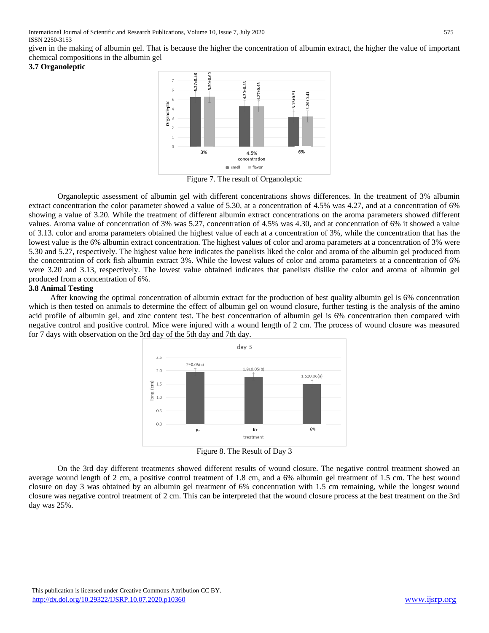given in the making of albumin gel. That is because the higher the concentration of albumin extract, the higher the value of important chemical compositions in the albumin gel

# **3.7 Organoleptic**



Figure 7. The result of Organoleptic

Organoleptic assessment of albumin gel with different concentrations shows differences. In the treatment of 3% albumin extract concentration the color parameter showed a value of 5.30, at a concentration of 4.5% was 4.27, and at a concentration of 6% showing a value of 3.20. While the treatment of different albumin extract concentrations on the aroma parameters showed different values. Aroma value of concentration of 3% was 5.27, concentration of 4.5% was 4.30, and at concentration of 6% it showed a value of 3.13. color and aroma parameters obtained the highest value of each at a concentration of 3%, while the concentration that has the lowest value is the 6% albumin extract concentration. The highest values of color and aroma parameters at a concentration of 3% were 5.30 and 5.27, respectively. The highest value here indicates the panelists liked the color and aroma of the albumin gel produced from the concentration of cork fish albumin extract 3%. While the lowest values of color and aroma parameters at a concentration of 6% were 3.20 and 3.13, respectively. The lowest value obtained indicates that panelists dislike the color and aroma of albumin gel produced from a concentration of 6%.

# **3.8 Animal Testing**

After knowing the optimal concentration of albumin extract for the production of best quality albumin gel is 6% concentration which is then tested on animals to determine the effect of albumin gel on wound closure, further testing is the analysis of the amino acid profile of albumin gel, and zinc content test. The best concentration of albumin gel is 6% concentration then compared with negative control and positive control. Mice were injured with a wound length of 2 cm. The process of wound closure was measured for 7 days with observation on the 3rd day of the 5th day and 7th day.



Figure 8. The Result of Day 3

On the 3rd day different treatments showed different results of wound closure. The negative control treatment showed an average wound length of 2 cm, a positive control treatment of 1.8 cm, and a 6% albumin gel treatment of 1.5 cm. The best wound closure on day 3 was obtained by an albumin gel treatment of 6% concentration with 1.5 cm remaining, while the longest wound closure was negative control treatment of 2 cm. This can be interpreted that the wound closure process at the best treatment on the 3rd day was 25%.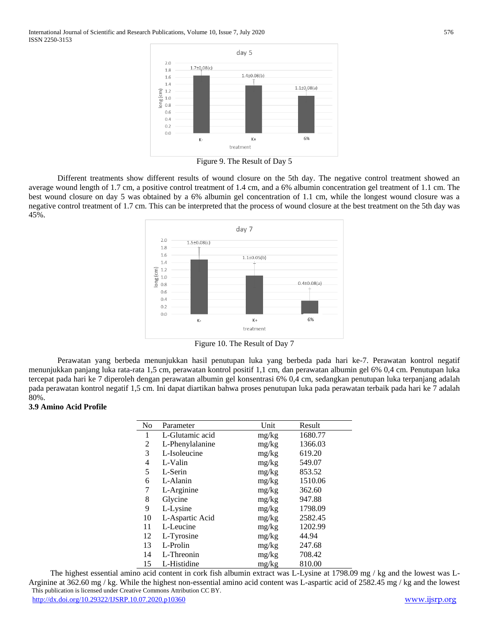International Journal of Scientific and Research Publications, Volume 10, Issue 7, July 2020 576 ISSN 2250-3153



Figure 9. The Result of Day 5

Different treatments show different results of wound closure on the 5th day. The negative control treatment showed an average wound length of 1.7 cm, a positive control treatment of 1.4 cm, and a 6% albumin concentration gel treatment of 1.1 cm. The best wound closure on day 5 was obtained by a 6% albumin gel concentration of 1.1 cm, while the longest wound closure was a negative control treatment of 1.7 cm. This can be interpreted that the process of wound closure at the best treatment on the 5th day was 45%.



Figure 10. The Result of Day 7

Perawatan yang berbeda menunjukkan hasil penutupan luka yang berbeda pada hari ke-7. Perawatan kontrol negatif menunjukkan panjang luka rata-rata 1,5 cm, perawatan kontrol positif 1,1 cm, dan perawatan albumin gel 6% 0,4 cm. Penutupan luka tercepat pada hari ke 7 diperoleh dengan perawatan albumin gel konsentrasi 6% 0,4 cm, sedangkan penutupan luka terpanjang adalah pada perawatan kontrol negatif 1,5 cm. Ini dapat diartikan bahwa proses penutupan luka pada perawatan terbaik pada hari ke 7 adalah 80%.

#### **3.9 Amino Acid Profile**

| N <sub>0</sub> | Parameter       | Unit  | Result  |
|----------------|-----------------|-------|---------|
| 1              | L-Glutamic acid | mg/kg | 1680.77 |
| 2              | L-Phenylalanine | mg/kg | 1366.03 |
| 3              | L-Isoleucine    | mg/kg | 619.20  |
| 4              | L-Valin         | mg/kg | 549.07  |
| 5              | L-Serin         | mg/kg | 853.52  |
| 6              | L-Alanin        | mg/kg | 1510.06 |
| 7              | L-Arginine      | mg/kg | 362.60  |
| 8              | Glycine         | mg/kg | 947.88  |
| 9              | L-Lysine        | mg/kg | 1798.09 |
| 10             | L-Aspartic Acid | mg/kg | 2582.45 |
| 11             | L-Leucine       | mg/kg | 1202.99 |
| 12             | L-Tyrosine      | mg/kg | 44.94   |
| 13             | L-Prolin        | mg/kg | 247.68  |
| 14             | L-Threonin      | mg/kg | 708.42  |
| 15             | L-Histidine     | mg/kg | 810.00  |

 This publication is licensed under Creative Commons Attribution CC BY. <http://dx.doi.org/10.29322/IJSRP.10.07.2020.p10360> [www.ijsrp.org](http://ijsrp.org/) The highest essential amino acid content in cork fish albumin extract was L-Lysine at 1798.09 mg / kg and the lowest was L-Arginine at 362.60 mg / kg. While the highest non-essential amino acid content was L-aspartic acid of 2582.45 mg / kg and the lowest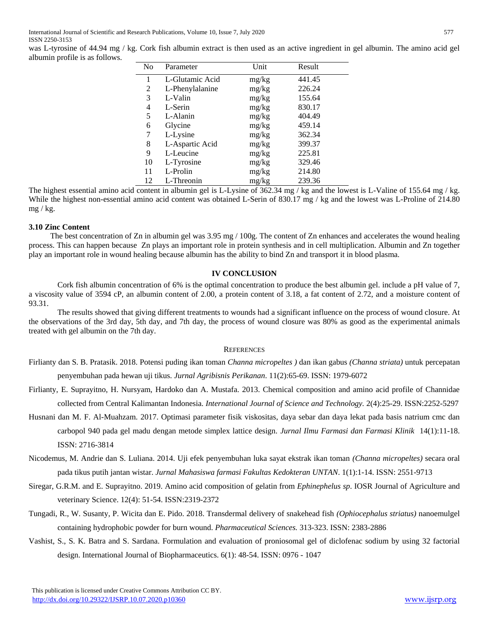was L-tyrosine of 44.94 mg / kg. Cork fish albumin extract is then used as an active ingredient in gel albumin. The amino acid gel albumin profile is as follows.

| No | Parameter       | Unit  | Result |
|----|-----------------|-------|--------|
| 1  | L-Glutamic Acid | mg/kg | 441.45 |
| 2  | L-Phenylalanine | mg/kg | 226.24 |
| 3  | L-Valin         | mg/kg | 155.64 |
| 4  | L-Serin         | mg/kg | 830.17 |
| 5  | L-Alanin        | mg/kg | 404.49 |
| 6  | Glycine         | mg/kg | 459.14 |
| 7  | L-Lysine        | mg/kg | 362.34 |
| 8  | L-Aspartic Acid | mg/kg | 399.37 |
| 9  | L-Leucine       | mg/kg | 225.81 |
| 10 | L-Tyrosine      | mg/kg | 329.46 |
| 11 | L-Prolin        | mg/kg | 214.80 |
| 12 | L-Threonin      | mg/kg | 239.36 |

The highest essential amino acid content in albumin gel is L-Lysine of 362.34 mg / kg and the lowest is L-Valine of 155.64 mg / kg. While the highest non-essential amino acid content was obtained L-Serin of 830.17 mg / kg and the lowest was L-Proline of 214.80  $mg / kg$ .

### **3.10 Zinc Content**

The best concentration of Zn in albumin gel was 3.95 mg / 100g. The content of Zn enhances and accelerates the wound healing process. This can happen because Zn plays an important role in protein synthesis and in cell multiplication. Albumin and Zn together play an important role in wound healing because albumin has the ability to bind Zn and transport it in blood plasma.

#### **IV CONCLUSION**

Cork fish albumin concentration of 6% is the optimal concentration to produce the best albumin gel. include a pH value of 7, a viscosity value of 3594 cP, an albumin content of 2.00, a protein content of 3.18, a fat content of 2.72, and a moisture content of 93.31.

The results showed that giving different treatments to wounds had a significant influence on the process of wound closure. At the observations of the 3rd day, 5th day, and 7th day, the process of wound closure was 80% as good as the experimental animals treated with gel albumin on the 7th day.

#### **REFERENCES**

- Firlianty dan S. B. Pratasik. 2018. Potensi puding ikan toman *Channa micropeltes )* dan ikan gabus *(Channa striata)* untuk percepatan penyembuhan pada hewan uji tikus. *Jurnal Agribisnis Perikanan*. 11(2):65-69. ISSN: 1979-6072
- Firlianty, E. Suprayitno, H. Nursyam, Hardoko dan A. Mustafa. 2013. Chemical composition and amino acid profile of Channidae collected from Central Kalimantan Indonesia. *International Journal of Science and Technology.* 2(4):25-29. ISSN:2252-5297
- Husnani dan M. F. Al-Muahzam. 2017. Optimasi parameter fisik viskositas, daya sebar dan daya lekat pada basis natrium cmc dan carbopol 940 pada gel madu dengan metode simplex lattice design. *Jurnal Ilmu Farmasi dan Farmasi Klinik* 14(1):11-18. ISSN: 2716-3814
- Nicodemus, M. Andrie dan S. Luliana. 2014. Uji efek penyembuhan luka sayat ekstrak ikan toman *(Channa micropeltes)* secara oral pada tikus putih jantan wistar. *Jurnal Mahasiswa farmasi Fakultas Kedokteran UNTAN*. 1(1):1-14. ISSN: 2551-9713
- Siregar, G.R.M. and E. Suprayitno. 2019. Amino acid composition of gelatin from *Ephinephelus sp*. IOSR Journal of Agriculture and veterinary Science. 12(4): 51-54. ISSN:2319-2372
- Tungadi, R., W. Susanty, P. Wicita dan E. Pido. 2018. Transdermal delivery of snakehead fish *(Ophiocephalus striatus)* nanoemulgel containing hydrophobic powder for burn wound. *Pharmaceutical Sciences.* 313-323. ISSN[: 2383-2886](https://portal.issn.org/resource/ISSN/2383-2886)
- Vashist, S., S. K. Batra and S. Sardana. Formulation and evaluation of proniosomal gel of diclofenac sodium by using 32 factorial design. International Journal of Biopharmaceutics. 6(1): 48-54. ISSN: 0976 - 1047